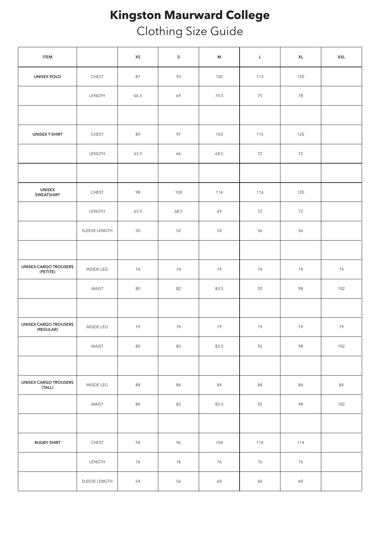## **Kingston Maurward College**

Clothing Size Guide

| <b>ITEM</b>                               |                   | XS   | ${\sf S}$ | $\mathsf{M}% _{T}=\mathsf{M}_{T}\!\left( a,b\right) ,\ \mathsf{M}_{T}=\mathsf{M}_{T}\!\left( a,b\right) ,$ | $\mathsf{L}% _{0}\left( \mathsf{L}_{0}\right) ^{\ast }=\mathsf{L}_{0}\left( \mathsf{L}_{0}\right) ^{\ast }$ | $\mathsf{XL}$ | <b>XXL</b> |
|-------------------------------------------|-------------------|------|-----------|------------------------------------------------------------------------------------------------------------|-------------------------------------------------------------------------------------------------------------|---------------|------------|
| <b>UNISEX POLO</b>                        | <b>CHEST</b>      | 87   | 93        | 102                                                                                                        | 113                                                                                                         | 120           |            |
|                                           | LENGTH            | 66.5 | 69        | 70.5                                                                                                       | 75                                                                                                          | 78            |            |
|                                           |                   |      |           |                                                                                                            |                                                                                                             |               |            |
| <b>UNISEX T-SHIRT</b>                     | <b>CHEST</b>      | 89   | 97        | 103                                                                                                        | 115                                                                                                         | 120           |            |
|                                           | LENGTH            | 63.5 | 66        | 68.5                                                                                                       | 72                                                                                                          | 72            |            |
|                                           |                   |      |           |                                                                                                            |                                                                                                             |               |            |
| <b>UNISEX</b><br><b>SWEATSHIRT</b>        | <b>CHEST</b>      | 98   | 100       | 114                                                                                                        | 116                                                                                                         | 120           |            |
|                                           | LENGTH            | 63.5 | 68.5      | 69                                                                                                         | 72                                                                                                          | 72            |            |
|                                           | SLEEVE LENGTH     | 50   | 52        | 54                                                                                                         | 56                                                                                                          | 56            |            |
|                                           |                   |      |           |                                                                                                            |                                                                                                             |               |            |
| <b>UNISEX CARGO TROUSERS</b><br>(PETITE)  | <b>INSIDE LEG</b> | 74   | 74        | 74                                                                                                         | 74                                                                                                          | 74            | 74         |
|                                           | WAIST             | 80   | 82        | 83.5                                                                                                       | 92                                                                                                          | 98            | 102        |
|                                           |                   |      |           |                                                                                                            |                                                                                                             |               |            |
| <b>UNISEX CARGO TROUSERS</b><br>(REGULAR) | <b>INSIDE LEG</b> | 79   | 79        | 79                                                                                                         | 79                                                                                                          | 79            | 79         |
|                                           | WAIST             | 80   | 82        | 83.5                                                                                                       | 92                                                                                                          | 98            | 102        |
|                                           |                   |      |           |                                                                                                            |                                                                                                             |               |            |
| <b>UNISEX CARGO TROUSERS</b><br>(TALL)    | <b>INSIDE LEG</b> | 84   | 84        | 84                                                                                                         | 84                                                                                                          | 84            | 84         |
|                                           | WAIST             | 80   | 82        | 83.5                                                                                                       | 92                                                                                                          | 98            | 102        |
|                                           |                   |      |           |                                                                                                            |                                                                                                             |               |            |
| <b>RUGBY SHIRT</b>                        | <b>CHEST</b>      | 94   | 96        | 104                                                                                                        | 110                                                                                                         | 114           |            |
|                                           | LENGTH            | 76   | 76        | 76                                                                                                         | 76                                                                                                          | 76            |            |
|                                           | SLEEVE LENGTH     | 54   | 56        | 60                                                                                                         | 60                                                                                                          | 60            |            |